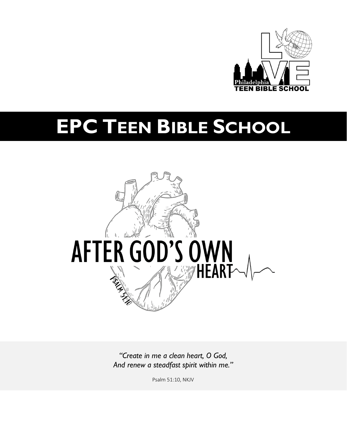

# **EPC TEEN BIBLE SCHOOL**



*"Create in me a clean heart, O God, And renew a steadfast spirit within me."*

Psalm 51:10, NKJV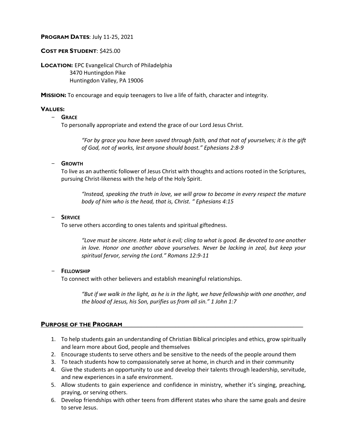#### **PROGRAM DATES**: July 11-25, 2021

#### **COST PER STUDENT**: \$425.00

**LOCATION:** EPC Evangelical Church of Philadelphia 3470 Huntingdon Pike Huntingdon Valley, PA 19006

**MISSION:** To encourage and equip teenagers to live a life of faith, character and integrity.

#### **VALUES:**

#### - **GRACE**

To personally appropriate and extend the grace of our Lord Jesus Christ.

*"For by grace you have been saved through faith, and that not of yourselves; it is the gift of God, not of works, lest anyone should boast." Ephesians 2:8-9*

#### - **GROWTH**

To live as an authentic follower of Jesus Christ with thoughts and actions rooted in the Scriptures, pursuing Christ-likeness with the help of the Holy Spirit.

*"Instead, speaking the truth in love, we will grow to become in every respect the mature body of him who is the head, that is, Christ. " Ephesians 4:15*

#### - **SERVICE**

To serve others according to ones talents and spiritual giftedness.

*"Love must be sincere. Hate what is evil; cling to what is good. Be devoted to one another in love. Honor one another above yourselves. Never be lacking in zeal, but keep your spiritual fervor, serving the Lord." Romans 12:9-11*

#### - **FELLOWSHIP**

To connect with other believers and establish meaningful relationships.

*"But if we walk in the light, as he is in the light, we have fellowship with one another, and the blood of Jesus, his Son, purifies us from all sin." 1 John 1:7*

#### **PURPOSE OF THE PROGRAM**

- 1. To help students gain an understanding of Christian Biblical principles and ethics, grow spiritually and learn more about God, people and themselves
- 2. Encourage students to serve others and be sensitive to the needs of the people around them
- 3. To teach students how to compassionately serve at home, in church and in their community
- 4. Give the students an opportunity to use and develop their talents through leadership, servitude, and new experiences in a safe environment.
- 5. Allow students to gain experience and confidence in ministry, whether it's singing, preaching, praying, or serving others.
- 6. Develop friendships with other teens from different states who share the same goals and desire to serve Jesus.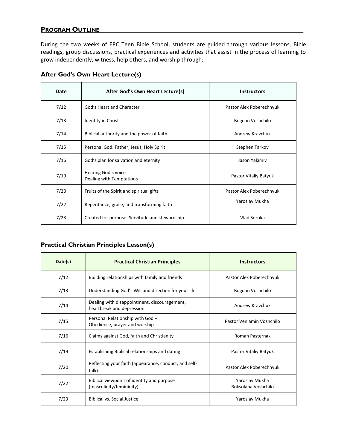# **PROGRAM OUTLINE\_\_\_\_\_\_\_\_\_\_\_\_\_\_\_\_\_\_\_\_\_\_\_\_\_\_\_\_\_\_\_\_\_\_\_\_\_\_\_\_\_\_\_\_\_\_\_\_\_\_\_\_\_\_\_\_\_\_\_\_**

During the two weeks of EPC Teen Bible School, students are guided through various lessons, Bible readings, group discussions, practical experiences and activities that assist in the process of learning to grow independently, witness, help others, and worship through:

| Date | After God's Own Heart Lecture(s)                | <b>Instructors</b>       |
|------|-------------------------------------------------|--------------------------|
| 7/12 | God's Heart and Character                       | Pastor Alex Poberezhnyuk |
| 7/13 | <b>Identity in Christ</b>                       | Bogdan Voshchilo         |
| 7/14 | Biblical authority and the power of faith       | Andrew Kraychuk          |
| 7/15 | Personal God: Father, Jesus, Holy Spirit        | Stephen Tarkov           |
| 7/16 | God's plan for salvation and eternity           | Jason Yakimiy            |
| 7/19 | Hearing God's voice<br>Dealing with Temptations | Pastor Vitaliy Batyuk    |
| 7/20 | Fruits of the Spirit and spiritual gifts        | Pastor Alex Poberezhnyuk |
| 7/22 | Repentance, grace, and transforming faith       | Yaroslay Mukha           |
| 7/23 | Created for purpose: Servitude and stewardship  | Vlad Soroka              |

# **After God's Own Heart Lecture(s)**

# **Practical Christian Principles Lesson(s)**

| Date(s) | <b>Practical Christian Principles</b>                                     | <b>Instructors</b>                    |
|---------|---------------------------------------------------------------------------|---------------------------------------|
| 7/12    | Building relationships with family and friends                            | Pastor Alex Poberezhnyuk              |
| 7/13    | Understanding God's Will and direction for your life                      | Bogdan Voshchilo                      |
| 7/14    | Dealing with disappointment, discouragement,<br>heartbreak and depression | Andrew Kraychuk                       |
| 7/15    | Personal Relationship with God +<br>Obedience, prayer and worship         | Pastor Veniamin Voshchilo             |
| 7/16    | Claims against God, faith and Christianity                                | Roman Pasternak                       |
| 7/19    | Establishing Biblical relationships and dating                            | Pastor Vitaliy Batyuk                 |
| 7/20    | Reflecting your faith (appearance, conduct, and self-<br>talk)            | Pastor Alex Poberezhnyuk              |
| 7/22    | Biblical viewpoint of identity and purpose<br>(masculinity/femininity)    | Yaroslav Mukha<br>Roksolana Voshchilo |
| 7/23    | <b>Biblical vs. Social Justice</b>                                        | Yaroslav Mukha                        |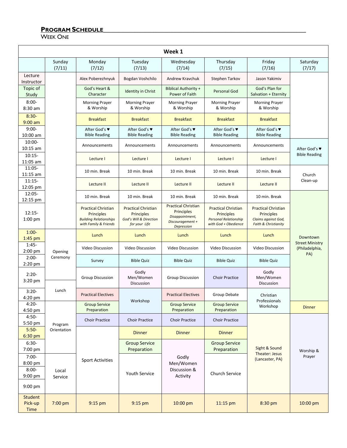# **PROGRAM SCHEDULE\_\_\_\_\_\_\_\_\_\_\_\_\_\_\_\_\_\_\_\_\_\_\_\_\_\_\_\_\_\_\_\_\_\_\_\_\_\_\_\_\_\_\_\_\_\_\_\_\_\_\_\_\_\_\_\_\_\_\_\_\_\_\_\_\_**

WEEK ONE

| Week 1                                                |                  |                                                                                                    |                                                                                     |                                                                                               |                                                                                                  |                                                                                         |                                          |
|-------------------------------------------------------|------------------|----------------------------------------------------------------------------------------------------|-------------------------------------------------------------------------------------|-----------------------------------------------------------------------------------------------|--------------------------------------------------------------------------------------------------|-----------------------------------------------------------------------------------------|------------------------------------------|
|                                                       | Sunday<br>(7/11) | Monday<br>(7/12)                                                                                   | Tuesday<br>(7/13)                                                                   | Wednesday<br>(7/14)                                                                           | Thursday<br>(7/15)                                                                               | Friday<br>(7/16)                                                                        | Saturday<br>(7/17)                       |
| Lecture<br>Instructor                                 |                  | Alex Poberezhnyuk                                                                                  | Bogdan Voshchilo                                                                    | Andrew Kravchuk                                                                               | Stephen Tarkov                                                                                   | Jason Yakimiv                                                                           |                                          |
| Topic of<br>Study                                     |                  | God's Heart &<br>Character                                                                         | <b>Identity in Christ</b>                                                           | <b>Biblical Authority +</b><br>Power of Faith                                                 | Personal God                                                                                     | God's Plan for<br>Salvation + Eternity                                                  |                                          |
| $8:00-$<br>8:30 am                                    |                  | <b>Morning Prayer</b><br>& Worship                                                                 | <b>Morning Prayer</b><br>& Worship                                                  | <b>Morning Prayer</b><br>& Worship                                                            | <b>Morning Prayer</b><br>& Worship                                                               | <b>Morning Prayer</b><br>& Worship                                                      |                                          |
| $8:30-$<br>$9:00$ am                                  |                  | <b>Breakfast</b>                                                                                   | <b>Breakfast</b>                                                                    | <b>Breakfast</b>                                                                              | <b>Breakfast</b>                                                                                 | <b>Breakfast</b>                                                                        |                                          |
| $9:00-$<br>10:00 am                                   |                  | After God's ♥<br><b>Bible Reading</b>                                                              | After God's ♥<br><b>Bible Reading</b>                                               | After God's ♥<br><b>Bible Reading</b>                                                         | After God's ♥<br><b>Bible Reading</b>                                                            | After God's ♥<br><b>Bible Reading</b>                                                   |                                          |
| 10:00-<br>$10:15$ am                                  |                  | Announcements                                                                                      | Announcements                                                                       | Announcements                                                                                 | Announcements                                                                                    | Announcements                                                                           | After God's ♥                            |
| $10:15-$<br>11:05 am                                  |                  | Lecture I                                                                                          | Lecture I                                                                           | Lecture I                                                                                     | Lecture I                                                                                        | Lecture I                                                                               | <b>Bible Reading</b>                     |
| $11:05 -$<br>$11:15$ am                               |                  | 10 min. Break                                                                                      | 10 min. Break                                                                       | 10 min. Break                                                                                 | 10 min. Break                                                                                    | 10 min. Break                                                                           | Church                                   |
| $11:15-$<br>12:05 pm                                  |                  | Lecture II                                                                                         | Lecture II                                                                          | Lecture II                                                                                    | Lecture II                                                                                       | Lecture II                                                                              | Clean-up                                 |
| $12:05 -$<br>12:15 pm                                 |                  | 10 min. Break                                                                                      | 10 min. Break                                                                       | 10 min. Break                                                                                 | 10 min. Break                                                                                    | 10 min. Break                                                                           |                                          |
| $12:15-$<br>$1:00$ pm                                 |                  | <b>Practical Christian</b><br>Principles<br><b>Building Relationships</b><br>with Family & Friends | <b>Practical Christian</b><br>Principles<br>God's Will & Direction<br>for your Life | <b>Practical Christian</b><br>Principles<br>Disappointment,<br>Discouragement +<br>Depression | <b>Practical Christian</b><br>Principles<br><b>Personal Relationship</b><br>with God + Obedience | <b>Practical Christian</b><br>Principles<br>Claims against God,<br>Faith & Christianity |                                          |
| $1:00-$<br>$1:45$ pm                                  |                  | Lunch                                                                                              | Lunch                                                                               | Lunch                                                                                         | Lunch                                                                                            | Lunch                                                                                   | Downtown                                 |
| $1:45-$<br>$2:00$ pm                                  | Opening          | <b>Video Discussion</b>                                                                            | Video Discussion                                                                    | Video Discussion                                                                              | <b>Video Discussion</b>                                                                          | Video Discussion                                                                        | <b>Street Ministry</b><br>(Philadelphia, |
| $2:00-$<br>$2:20$ pm                                  | Ceremony         | Survey                                                                                             | <b>Bible Quiz</b>                                                                   | <b>Bible Quiz</b>                                                                             | <b>Bible Quiz</b>                                                                                | <b>Bible Quiz</b>                                                                       | PA)                                      |
| $2:20-$<br>$3:20$ pm                                  |                  | <b>Group Discussion</b>                                                                            | Godly<br>Men/Women<br>Discussion                                                    | <b>Group Discussion</b>                                                                       | <b>Choir Practice</b>                                                                            | Godly<br>Men/Women<br>Discussion                                                        |                                          |
| $3:20-$<br>4:20 pm                                    | Lunch            | <b>Practical Electives</b>                                                                         |                                                                                     | <b>Practical Electives</b>                                                                    | Group Debate                                                                                     | Christian                                                                               |                                          |
| $4:20-$<br>4:50 pm                                    |                  | <b>Group Service</b><br>Preparation                                                                | Workshop                                                                            | <b>Group Service</b><br>Preparation                                                           | <b>Group Service</b><br>Preparation                                                              | Professionals<br>Workshop                                                               | <b>Dinner</b>                            |
| $4:50-$<br>5:50 pm                                    | Program          | <b>Choir Practice</b>                                                                              | <b>Choir Practice</b>                                                               | <b>Choir Practice</b>                                                                         | <b>Choir Practice</b>                                                                            |                                                                                         |                                          |
| $5:50-$<br>$6:30$ pm                                  | Orientation      |                                                                                                    | <b>Dinner</b>                                                                       | <b>Dinner</b>                                                                                 | <b>Dinner</b>                                                                                    |                                                                                         |                                          |
| $6:30-$<br>7:00 pm                                    |                  |                                                                                                    | <b>Group Service</b><br>Preparation                                                 |                                                                                               | <b>Group Service</b><br>Preparation                                                              | Sight & Sound                                                                           | Worship &                                |
| $7:00-$<br>8:00 pm<br>$8:00-$<br>9:00 pm<br>$9:00$ pm | Local<br>Service | <b>Sport Activities</b>                                                                            | <b>Youth Service</b>                                                                | Godly<br>Men/Women<br>Discussion &<br>Activity                                                | Church Service                                                                                   | Theater: Jesus<br>(Lancaster, PA)                                                       | Prayer                                   |
| Student<br>Pick-up<br>Time                            | 7:00 pm          | 9:15 pm                                                                                            | 9:15 pm                                                                             | 10:00 pm                                                                                      | 11:15 pm                                                                                         | 8:30 pm                                                                                 | 10:00 pm                                 |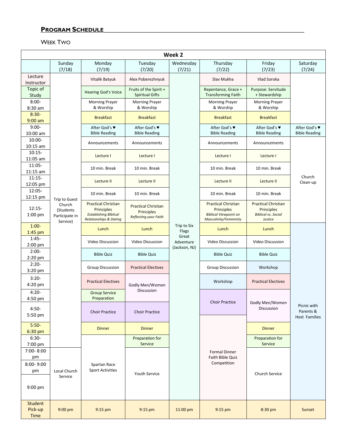# **PROGRAM SCHEDULE\_\_\_\_\_\_\_\_\_\_\_\_\_\_\_\_\_\_\_\_\_\_\_\_\_\_\_\_\_\_\_\_\_\_\_\_\_\_\_\_\_\_\_\_\_\_\_\_\_\_\_\_\_\_\_\_\_\_\_**

# WEEK TWO

|                                    | Week 2                                            |                                                                                                               |                                                                   |                      |                                                                                                    |                                                                                   |                                           |
|------------------------------------|---------------------------------------------------|---------------------------------------------------------------------------------------------------------------|-------------------------------------------------------------------|----------------------|----------------------------------------------------------------------------------------------------|-----------------------------------------------------------------------------------|-------------------------------------------|
|                                    | Sunday                                            | Monday                                                                                                        | Tuesday                                                           | Wednesday            | Thursday                                                                                           | Friday                                                                            | Saturday                                  |
|                                    | (7/18)                                            | (7/19)                                                                                                        | (7/20)                                                            | (7/21)               | (7/22)                                                                                             | (7/23)                                                                            | (7/24)                                    |
| Lecture<br>Instructor              |                                                   | Vitalik Batyuk                                                                                                | Alex Poberezhnyuk                                                 |                      | Slav Mukha                                                                                         | Vlad Soroka                                                                       |                                           |
| Topic of<br>Study                  |                                                   | <b>Hearing God's Voice</b>                                                                                    | Fruits of the Spirit +<br><b>Spiritual Gifts</b>                  |                      | Repentance, Grace +<br><b>Transforming Faith</b>                                                   | Purpose: Servitude<br>+ Stewardship                                               |                                           |
| $8:00 -$<br>8:30 am                |                                                   | <b>Morning Prayer</b><br>& Worship                                                                            | <b>Morning Prayer</b><br>& Worship                                |                      | <b>Morning Prayer</b><br>& Worship                                                                 | <b>Morning Prayer</b><br>& Worship                                                |                                           |
| $8:30-$<br>$9:00$ am               |                                                   | <b>Breakfast</b>                                                                                              | <b>Breakfast</b>                                                  |                      | <b>Breakfast</b>                                                                                   | <b>Breakfast</b>                                                                  |                                           |
| $9:00-$<br>10:00 am                |                                                   | After God's ♥<br><b>Bible Reading</b>                                                                         | After God's ♥<br><b>Bible Reading</b>                             |                      | After God's ♥<br><b>Bible Reading</b>                                                              | After God's ♥<br><b>Bible Reading</b>                                             | After God's ♥<br><b>Bible Reading</b>     |
| $10:00 -$<br>10:15 am              |                                                   | Announcements                                                                                                 | Announcements                                                     |                      | Announcements                                                                                      | Announcements                                                                     |                                           |
| $10:15-$<br>11:05 am               |                                                   | Lecture I                                                                                                     | Lecture I                                                         |                      | Lecture I                                                                                          | Lecture I                                                                         |                                           |
| 11:05-<br>$11:15$ am               |                                                   | 10 min. Break                                                                                                 | 10 min. Break                                                     |                      | 10 min. Break                                                                                      | 10 min. Break                                                                     |                                           |
| $11:15-$<br>12:05 pm               |                                                   | Lecture II                                                                                                    | Lecture II                                                        |                      | Lecture II                                                                                         | Lecture II                                                                        | Church<br>Clean-up                        |
| $12:05 -$<br>12:15 pm              | Trip to Guest                                     | 10 min. Break                                                                                                 | 10 min. Break                                                     |                      | 10 min. Break                                                                                      | 10 min. Break                                                                     |                                           |
| $12:15-$<br>1:00 pm                | Church<br>(Students<br>Participate in<br>Service) | <b>Practical Christian</b><br>Principles<br><b>Establishing Biblical</b><br><b>Relationships &amp; Dating</b> | <b>Practical Christian</b><br>Principles<br>Reflecting your Faith |                      | <b>Practical Christian</b><br>Principles<br><b>Biblical Viewpoint on</b><br>Masculinity/Femininity | <b>Practical Christian</b><br>Principles<br><b>Biblical vs. Social</b><br>Justice |                                           |
| $1:00-$<br>1:45 pm                 |                                                   | Lunch                                                                                                         | Lunch                                                             | Trip to Six<br>Flags | Lunch                                                                                              | Lunch                                                                             |                                           |
| $1:45-$<br>$2:00$ pm               |                                                   | Video Discussion                                                                                              | <b>Video Discussion</b>                                           | Great<br>Adventure   | Video Discussion                                                                                   | Video Discussion                                                                  |                                           |
| $2:00-$<br>2:20 pm                 |                                                   | <b>Bible Quiz</b>                                                                                             | <b>Bible Quiz</b>                                                 | (Jackson, NJ)        | <b>Bible Quiz</b>                                                                                  | <b>Bible Quiz</b>                                                                 |                                           |
| $2:20-$<br>3:20 pm                 |                                                   | <b>Group Discussion</b>                                                                                       | <b>Practical Electives</b>                                        |                      | <b>Group Discussion</b>                                                                            | Workshop                                                                          |                                           |
| $3:20-$<br>4:20 pm                 |                                                   | <b>Practical Electives</b>                                                                                    | Godly Men/Women                                                   |                      | Workshop                                                                                           | <b>Practical Electives</b>                                                        |                                           |
| $4:20-$<br>4:50 pm                 |                                                   | <b>Group Service</b><br>Preparation                                                                           | Discussion                                                        |                      |                                                                                                    |                                                                                   |                                           |
| $4:50-$<br>5:50 pm                 |                                                   | <b>Choir Practice</b>                                                                                         | <b>Choir Practice</b>                                             |                      | <b>Choir Practice</b>                                                                              | Godly Men/Women<br>Discussion                                                     | Picnic with<br>Parents &<br>Host Families |
| $5:50-$<br>6:30 pm                 |                                                   | <b>Dinner</b>                                                                                                 | <b>Dinner</b>                                                     |                      |                                                                                                    | <b>Dinner</b>                                                                     |                                           |
| $6:30-$<br>7:00 pm                 |                                                   |                                                                                                               | Preparation for<br>Service                                        |                      |                                                                                                    | Preparation for<br>Service                                                        |                                           |
| 7:00-8:00                          |                                                   |                                                                                                               |                                                                   |                      | <b>Formal Dinner</b>                                                                               |                                                                                   |                                           |
| pm<br>8:00-9:00<br>pm<br>$9:00$ pm | Local Church<br>Service                           | Spartan Race<br><b>Sport Activities</b>                                                                       | Youth Service                                                     |                      | Faith Bible Quiz<br>Competition                                                                    | Church Service                                                                    |                                           |
| <b>Student</b><br>Pick-up<br>Time  | 9:00 pm                                           | 9:15 pm                                                                                                       | 9:15 pm                                                           | 11:00 pm             | 9:15 pm                                                                                            | 8:30 pm                                                                           | Sunset                                    |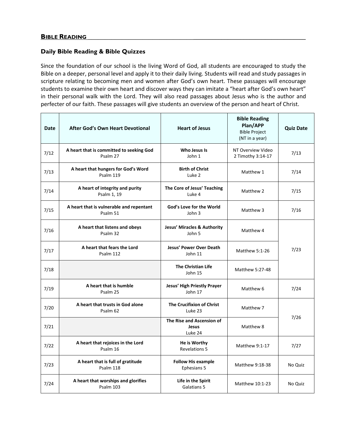#### **Daily Bible Reading & Bible Quizzes**

Since the foundation of our school is the living Word of God, all students are encouraged to study the Bible on a deeper, personal level and apply it to their daily living. Students will read and study passages in scripture relating to becoming men and women after God's own heart. These passages will encourage students to examine their own heart and discover ways they can imitate a "heart after God's own heart" in their personal walk with the Lord. They will also read passages about Jesus who is the author and perfecter of our faith. These passages will give students an overview of the person and heart of Christ.

| <b>Date</b> | <b>After God's Own Heart Devotional</b>              | <b>Heart of Jesus</b>                            | <b>Bible Reading</b><br>Plan/APP<br><b>Bible Project</b><br>(NT in a year) | <b>Quiz Date</b> |
|-------------|------------------------------------------------------|--------------------------------------------------|----------------------------------------------------------------------------|------------------|
| 7/12        | A heart that is committed to seeking God<br>Psalm 27 | Who Jesus Is<br>John 1                           | NT Overview Video<br>2 Timothy 3:14-17                                     | 7/13             |
| 7/13        | A heart that hungers for God's Word<br>Psalm 119     | <b>Birth of Christ</b><br>Luke 2                 | Matthew 1                                                                  | 7/14             |
| 7/14        | A heart of integrity and purity<br>Psalm 1, 19       | The Core of Jesus' Teaching<br>Luke 4            | Matthew 2                                                                  | 7/15             |
| 7/15        | A heart that is vulnerable and repentant<br>Psalm 51 | God's Love for the World<br>John 3               | Matthew 3                                                                  | 7/16             |
| 7/16        | A heart that listens and obeys<br>Psalm 32           | <b>Jesus' Miracles &amp; Authority</b><br>John 5 | Matthew 4                                                                  |                  |
| 7/17        | A heart that fears the Lord<br>Psalm 112             | <b>Jesus' Power Over Death</b><br>John 11        | Matthew 5:1-26                                                             | 7/23             |
| 7/18        |                                                      | <b>The Christian Life</b><br>John 15             | Matthew 5:27-48                                                            |                  |
| 7/19        | A heart that is humble<br>Psalm 25                   | Jesus' High Priestly Prayer<br>John 17           | Matthew 6                                                                  | 7/24             |
| 7/20        | A heart that trusts in God alone<br>Psalm 62         | The Crucifixion of Christ<br>Luke 23             | Matthew 7                                                                  |                  |
| 7/21        |                                                      | The Rise and Ascension of<br>Jesus<br>Luke 24    | Matthew 8                                                                  | 7/26             |
| 7/22        | A heart that rejoices in the Lord<br>Psalm 16        | He is Worthy<br><b>Revelations 5</b>             | Matthew 9:1-17                                                             | 7/27             |
| 7/23        | A heart that is full of gratitude<br>Psalm 118       | <b>Follow His example</b><br>Ephesians 5         | Matthew 9:18-38                                                            | No Quiz          |
| 7/24        | A heart that worships and glorifies<br>Psalm 103     | Life in the Spirit<br>Galatians 5                | Matthew 10:1-23                                                            | No Quiz          |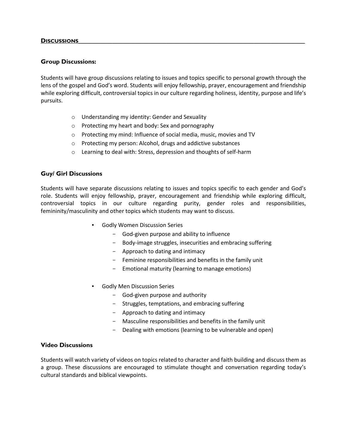#### **Group Discussions:**

Students will have group discussions relating to issues and topics specific to personal growth through the lens of the gospel and God's word. Students will enjoy fellowship, prayer, encouragement and friendship while exploring difficult, controversial topics in our culture regarding holiness, identity, purpose and life's pursuits.

- o Understanding my identity: Gender and Sexuality
- o Protecting my heart and body: Sex and pornography
- o Protecting my mind: Influence of social media, music, movies and TV
- o Protecting my person: Alcohol, drugs and addictive substances
- o Learning to deal with: Stress, depression and thoughts of self-harm

#### **Guy/ Girl Discussions**

Students will have separate discussions relating to issues and topics specific to each gender and God's role. Students will enjoy fellowship, prayer, encouragement and friendship while exploring difficult, controversial topics in our culture regarding purity, gender roles and responsibilities, femininity/masculinity and other topics which students may want to discuss.

- Godly Women Discussion Series
	- God-given purpose and ability to influence
	- Body-image struggles, insecurities and embracing suffering
	- Approach to dating and intimacy
	- Feminine responsibilities and benefits in the family unit
	- Emotional maturity (learning to manage emotions)
- **Godly Men Discussion Series** 
	- God-given purpose and authority
	- Struggles, temptations, and embracing suffering
	- Approach to dating and intimacy
	- Masculine responsibilities and benefits in the family unit
	- Dealing with emotions (learning to be vulnerable and open)

#### **Video Discussions**

Students will watch variety of videos on topics related to character and faith building and discuss them as a group. These discussions are encouraged to stimulate thought and conversation regarding today's cultural standards and biblical viewpoints.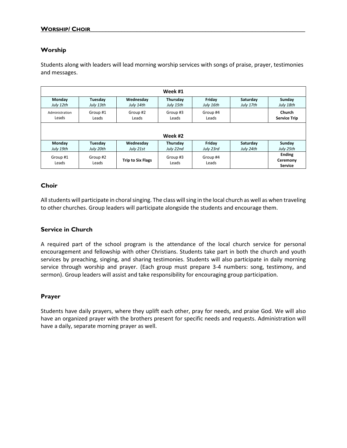#### **WORSHIP/ CHOIR**

#### **Worship**

Students along with leaders will lead morning worship services with songs of praise, prayer, testimonies and messages.

|                   |                   |                          | Week #1           |                   |           |                                             |
|-------------------|-------------------|--------------------------|-------------------|-------------------|-----------|---------------------------------------------|
| Monday            | Tuesday           | Wednesday                | Thursday          | Friday            | Saturday  | Sunday                                      |
| July 12th         | July 13th         | July 14th                | July 15th         | July 16th         | July 17th | July 18th                                   |
| Administration    | Group #1          | Group #2                 | Group #3          | Group #4          |           | Church                                      |
| Leads             | Leads             | Leads                    | Leads             | Leads             |           | <b>Service Trip</b>                         |
|                   | Week #2           |                          |                   |                   |           |                                             |
| Monday            | Tuesday           | Wednesday                | Thursday          | Friday            | Saturday  | Sunday                                      |
| July 19th         | July 20th         | July 21st                | July 22nd         | July 23rd         | July 24th | July 25th                                   |
| Group #1<br>Leads | Group #2<br>Leads | <b>Trip to Six Flags</b> | Group #3<br>Leads | Group #4<br>Leads |           | <b>Ending</b><br>Ceremony<br><b>Service</b> |

#### **Choir**

All students will participate in choral singing. The class will sing in the local church as well as when traveling to other churches. Group leaders will participate alongside the students and encourage them.

#### **Service in Church**

A required part of the school program is the attendance of the local church service for personal encouragement and fellowship with other Christians. Students take part in both the church and youth services by preaching, singing, and sharing testimonies. Students will also participate in daily morning service through worship and prayer. (Each group must prepare 3-4 numbers: song, testimony, and sermon). Group leaders will assist and take responsibility for encouraging group participation.

#### **Prayer**

Students have daily prayers, where they uplift each other, pray for needs, and praise God. We will also have an organized prayer with the brothers present for specific needs and requests. Administration will have a daily, separate morning prayer as well.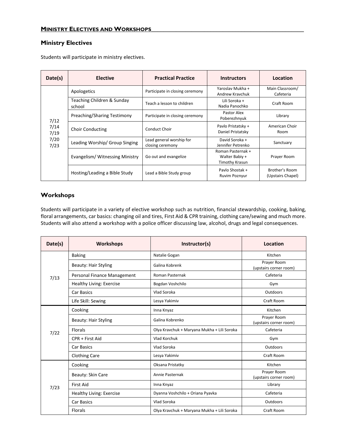# **Ministry Electives**

Students will participate in ministry electives.

| Date(s)                              | <b>Elective</b>                      | <b>Practical Practice</b>                    | <b>Instructors</b>                                    | Location                            |
|--------------------------------------|--------------------------------------|----------------------------------------------|-------------------------------------------------------|-------------------------------------|
| 7/12<br>7/14<br>7/19<br>7/20<br>7/23 | Apologetics                          | Participate in closing ceremony              | Yaroslav Mukha +<br>Andrew Kraychuk                   | Main Classroom/<br>Cafeteria        |
|                                      | Teaching Children & Sunday<br>school | Teach a lesson to children                   | Lili Soroka +<br>Nadia Panochko                       | Craft Room                          |
|                                      | Preaching/Sharing Testimony          | Participate in closing ceremony              | Pastor Alex<br>Poberezhnyuk                           | Library                             |
|                                      | <b>Choir Conducting</b>              | <b>Conduct Choir</b>                         | Pavlo Pristatsky +<br>Daniel Pristatsky               | American Choir<br>Room              |
|                                      | Leading Worship/ Group Singing       | Lead general worship for<br>closing ceremony | David Soroka +<br>Jennifer Petrenko                   | Sanctuary                           |
|                                      | Evangelism/Witnessing Ministry       | Go out and evangelize                        | Roman Pasternak +<br>Walter Babiy +<br>Timothy Krasun | Prayer Room                         |
|                                      | Hosting/Leading a Bible Study        | Lead a Bible Study group                     | Paylo Shostak +<br>Ruvim Poznyur                      | Brother's Room<br>(Upstairs Chapel) |

#### **Workshops**

Students will participate in a variety of elective workshop such as nutrition, financial stewardship, cooking, baking, floral arrangements, car basics: changing oil and tires, First Aid & CPR training, clothing care/sewing and much more. Students will also attend a workshop with a police officer discussing law, alcohol, drugs and legal consequences.

| Date(s) | Workshops                       | Instructor(s)                               | Location                              |
|---------|---------------------------------|---------------------------------------------|---------------------------------------|
|         | <b>Baking</b>                   | Natalie Gogan                               | Kitchen                               |
|         | <b>Beauty: Hair Styling</b>     | Galina Kobrenk                              | Prayer Room<br>(upstairs corner room) |
| 7/13    | Personal Finance Management     | Roman Pasternak                             | Cafeteria                             |
|         | Healthy Living: Exercise        | Bogdan Voshchilo                            | Gym                                   |
|         | <b>Car Basics</b>               | Vlad Soroka                                 | Outdoors                              |
|         | Life Skill: Sewing              | Lesya Yakimiv                               | Craft Room                            |
|         | Cooking                         | Inna Knyaz                                  | Kitchen                               |
|         | <b>Beauty: Hair Styling</b>     | Galina Kobrenko                             | Prayer Room<br>(upstairs corner room) |
| 7/22    | <b>Florals</b>                  | Olya Kravchuk + Maryana Mukha + Lili Soroka | Cafeteria                             |
|         | CPR + First Aid                 | Vlad Korchuk                                | Gym                                   |
|         | Car Basics                      | Vlad Soroka                                 | Outdoors                              |
|         | <b>Clothing Care</b>            | Lesya Yakimiv                               | Craft Room                            |
|         | Cooking                         | Oksana Pristatky                            | Kitchen                               |
|         | Beauty: Skin Care               | Annie Pasternak                             | Prayer Room<br>(upstairs corner room) |
| 7/23    | <b>First Aid</b>                | Inna Knyaz                                  | Library                               |
|         | <b>Healthy Living: Exercise</b> | Dyanna Voshchilo + Oriana Pyavka            | Cafeteria                             |
|         | Car Basics                      | Vlad Soroka                                 | Outdoors                              |
|         | <b>Florals</b>                  | Olya Kravchuk + Maryana Mukha + Lili Soroka | Craft Room                            |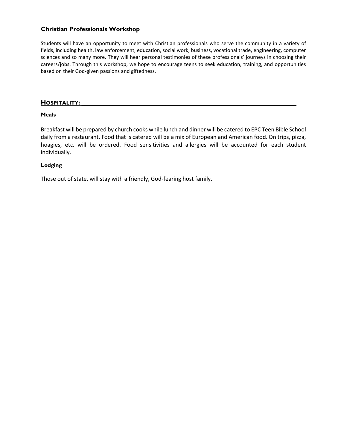## **Christian Professionals Workshop**

Students will have an opportunity to meet with Christian professionals who serve the community in a variety of fields, including health, law enforcement, education, social work, business, vocational trade, engineering, computer sciences and so many more. They will hear personal testimonies of these professionals' journeys in choosing their careers/jobs. Through this workshop, we hope to encourage teens to seek education, training, and opportunities based on their God-given passions and giftedness.

#### **HOSPITALITY: \_\_\_\_\_\_\_\_\_\_\_\_\_\_\_\_\_\_\_\_\_\_\_\_\_\_\_\_\_\_\_\_\_\_\_\_\_\_\_\_\_\_\_\_\_\_\_\_\_\_\_\_\_\_\_\_\_\_\_\_\_\_\_\_\_\_\_\_\_**

#### **Meals**

Breakfast will be prepared by church cooks while lunch and dinner will be catered to EPC Teen Bible School daily from a restaurant. Food that is catered will be a mix of European and American food. On trips, pizza, hoagies, etc. will be ordered. Food sensitivities and allergies will be accounted for each student individually.

#### **Lodging**

Those out of state, will stay with a friendly, God-fearing host family.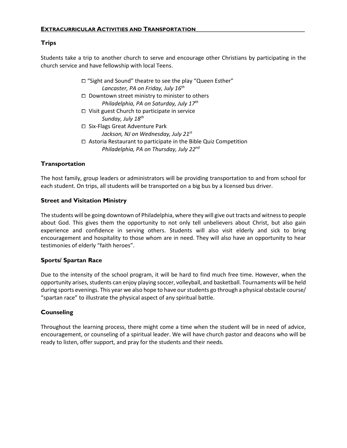# **Trips**

Students take a trip to another church to serve and encourage other Christians by participating in the church service and have fellowship with local Teens.

> ⧠ "Sight and Sound" theatre to see the play "Queen Esther" *Lancaster, PA on Friday, July 16 th*

- □ Downtown street ministry to minister to others *Philadelphia, PA on Saturday, July 17th*
- ⧠ Visit guest Church to participate in service *Sunday, July 18th*
- ⧠ Six-Flags Great Adventure Park
	- *Jackson, NJ on Wednesday, July 21st*
- $\Box$  Astoria Restaurant to participate in the Bible Quiz Competition *Philadelphia, PA on Thursday, July 22nd*

# **Transportation**

The host family, group leaders or administrators will be providing transportation to and from school for each student. On trips, all students will be transported on a big bus by a licensed bus driver.

## **Street and Visitation Ministry**

The students will be going downtown of Philadelphia, where they will give out tracts and witness to people about God. This gives them the opportunity to not only tell unbelievers about Christ, but also gain experience and confidence in serving others. Students will also visit elderly and sick to bring encouragement and hospitality to those whom are in need. They will also have an opportunity to hear testimonies of elderly "faith heroes".

## **Sports/ Spartan Race**

Due to the intensity of the school program, it will be hard to find much free time. However, when the opportunity arises, students can enjoy playing soccer, volleyball, and basketball. Tournaments will be held during sports evenings. This year we also hope to have our students go through a physical obstacle course/ "spartan race" to illustrate the physical aspect of any spiritual battle.

## **Counseling**

Throughout the learning process, there might come a time when the student will be in need of advice, encouragement, or counseling of a spiritual leader. We will have church pastor and deacons who will be ready to listen, offer support, and pray for the students and their needs.